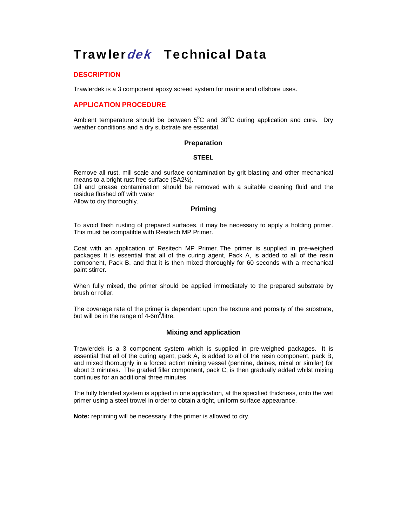# Trawlerdek Technical Data

## **DESCRIPTION**

Trawlerdek is a 3 component epoxy screed system for marine and offshore uses.

# **APPLICATION PROCEDURE**

Ambient temperature should be between  $5^0C$  and  $30^0C$  during application and cure. Dry weather conditions and a dry substrate are essential.

#### **Preparation**

#### **STEEL**

Remove all rust, mill scale and surface contamination by grit blasting and other mechanical means to a bright rust free surface (SA2½).

Oil and grease contamination should be removed with a suitable cleaning fluid and the residue flushed off with water

Allow to dry thoroughly.

#### **Priming**

To avoid flash rusting of prepared surfaces, it may be necessary to apply a holding primer. This must be compatible with Resitech MP Primer.

Coat with an application of Resitech MP Primer. The primer is supplied in pre-weighed packages. It is essential that all of the curing agent, Pack A, is added to all of the resin component, Pack B, and that it is then mixed thoroughly for 60 seconds with a mechanical paint stirrer.

When fully mixed, the primer should be applied immediately to the prepared substrate by brush or roller.

The coverage rate of the primer is dependent upon the texture and porosity of the substrate, but will be in the range of  $4\text{-}6\text{m}^2/\text{litre}$ .

## **Mixing and application**

Trawlerdek is a 3 component system which is supplied in pre-weighed packages. It is essential that all of the curing agent, pack A, is added to all of the resin component, pack B, and mixed thoroughly in a forced action mixing vessel (pennine, daines, mixal or similar) for about 3 minutes. The graded filler component, pack C, is then gradually added whilst mixing continues for an additional three minutes.

The fully blended system is applied in one application, at the specified thickness, onto the wet primer using a steel trowel in order to obtain a tight, uniform surface appearance.

**Note:** repriming will be necessary if the primer is allowed to dry.